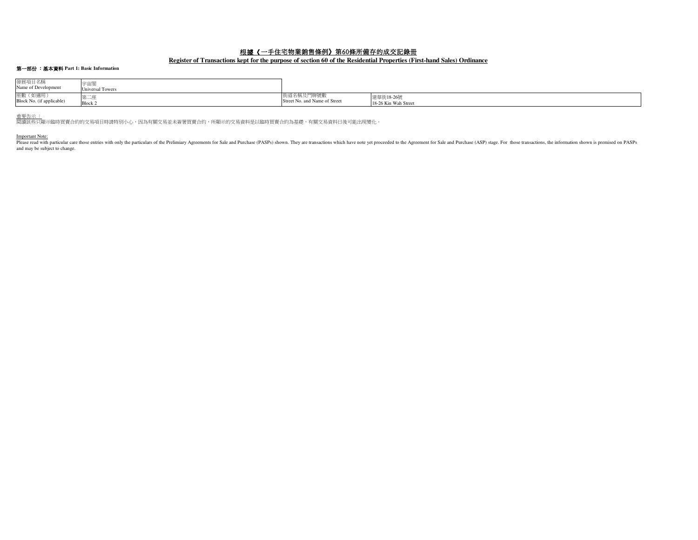# 根據《一手住宅物業銷售條例》第60條所備存的成交記錄冊

## **Register of Transactions kept for the purpose of section 60 of the Residential Properties (First-hand Sales) Ordinance**

# 第一部份 :基本資料 **Part 1: Basic Information**

| 發展項目名稱<br>Name of Development         | 宇宙閣<br><b>Universal Towers</b> |                               |                      |
|---------------------------------------|--------------------------------|-------------------------------|----------------------|
| 座數 (如適用)<br>Block No. (if applicable) | - 朱—座                          | 街道名稱及門牌號數                     | 建華街18-26號            |
|                                       | Block 2                        | Street No. and Name of Street | 18-26 Kin Wah Street |

重<u>要告示 :</u><br>閱讀該些只顯示臨時買賣合約的交易項目時請特別小心,因為有關交易並未簽署買賣合約,所顯示的交易資料是以臨時買賣合約為基礎,有關交易資料日後可能出現變化。

Important Note:<br>Please read with particular care those entries with only the particulars of the Prelimiary Agreements for Sale and Purchase (PASPs) shown. They are transactions which have note yet proceeded to the Agreemen and may be subject to change.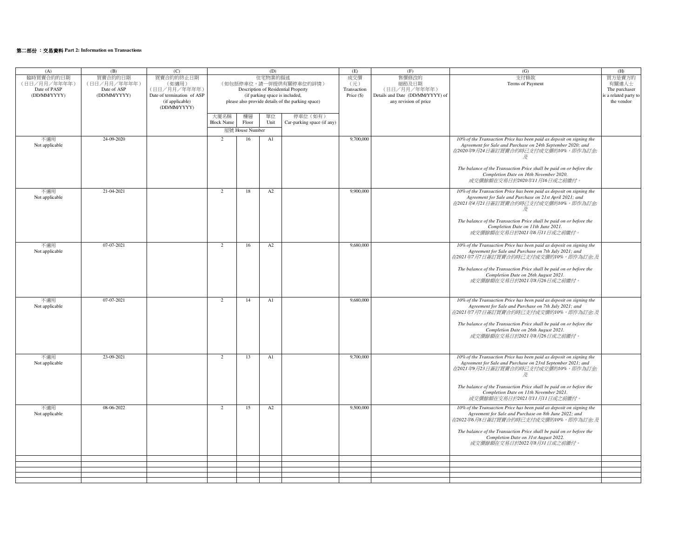# 第二部份 :交易資料 **Part 2: Information on Transactions**

| (A)            | (B)          | (C)                        |                                     |                                                   | (D)                            |                            | (E)         | (F)                              | (G)                                                                                                                                 | (H)                  |
|----------------|--------------|----------------------------|-------------------------------------|---------------------------------------------------|--------------------------------|----------------------------|-------------|----------------------------------|-------------------------------------------------------------------------------------------------------------------------------------|----------------------|
| 臨時買賣合約的日期      | 買賣合約的日期      | 買賣合約的終止日期                  | 住宅物業的描述                             |                                                   |                                |                            | 成交價         | 售價修改的                            | 支付條款                                                                                                                                | 買方是賣方的               |
| (日日/月月/年年年年)   | (日日/月月/年年年年) | (如適用)                      | (如包括停車位,請一併提供有關停車位的詳情)              |                                                   |                                |                            | (元)         | 細節及日期                            | Terms of Payment                                                                                                                    | 有關連人士                |
| Date of PASP   | Date of ASP  | (日日/月月/年年年年)               | Description of Residential Property |                                                   |                                |                            | Transaction | (日日/月月/年年年年)                     |                                                                                                                                     | The purchaser        |
| (DD/MM/YYYY)   | (DD/MM/YYYY) | Date of termination of ASP |                                     |                                                   | (if parking space is included, |                            | Price (\$)  | Details and Date (DD/MM/YYYY) of |                                                                                                                                     | s a related party to |
|                |              | (if applicable)            |                                     | please also provide details of the parking space) |                                |                            |             | any revision of price            |                                                                                                                                     | the vendor           |
|                |              | (DD/MM/YYYY)               |                                     |                                                   |                                |                            |             |                                  |                                                                                                                                     |                      |
|                |              |                            | 大廈名稱                                | 樓層                                                | 單位                             | 停車位 (如有)                   |             |                                  |                                                                                                                                     |                      |
|                |              |                            | <b>Block Name</b>                   | Floor                                             | Unit                           | Car-parking space (if any) |             |                                  |                                                                                                                                     |                      |
|                |              |                            |                                     | 屋號 House Number                                   |                                |                            |             |                                  |                                                                                                                                     |                      |
| 不適用            | 24-09-2020   |                            | 2                                   | 16                                                | A1                             |                            | 9,700,000   |                                  | 10% of the Transaction Price has been paid as deposit on signing the                                                                |                      |
| Not applicable |              |                            |                                     |                                                   |                                |                            |             |                                  | Agreement for Sale and Purchase on 24th September 2020; and                                                                         |                      |
|                |              |                            |                                     |                                                   |                                |                            |             |                                  | 在2020年9月24日簽訂買賣合約時已支付成交價的10%,即作為訂金;                                                                                                 |                      |
|                |              |                            |                                     |                                                   |                                |                            |             |                                  | 及                                                                                                                                   |                      |
|                |              |                            |                                     |                                                   |                                |                            |             |                                  |                                                                                                                                     |                      |
|                |              |                            |                                     |                                                   |                                |                            |             |                                  | The balance of the Transaction Price shall be paid on or before the                                                                 |                      |
|                |              |                            |                                     |                                                   |                                |                            |             |                                  | Completion Date on 16th November 2020.<br>成交價餘額在交易日於2020年11月16日或之前繳付。                                                               |                      |
|                |              |                            |                                     |                                                   |                                |                            |             |                                  |                                                                                                                                     |                      |
| 不適用            | 21-04-2021   |                            | $\overline{2}$                      | 18                                                | A2                             |                            | 9,900,000   |                                  | 10% of the Transaction Price has been paid as deposit on signing the                                                                |                      |
| Not applicable |              |                            |                                     |                                                   |                                |                            |             |                                  | Agreement for Sale and Purchase on 21st April 2021; and                                                                             |                      |
|                |              |                            |                                     |                                                   |                                |                            |             |                                  | 在2021年4月21日簽訂買賣合約時已支付成交價的10%,即作為訂金;                                                                                                 |                      |
|                |              |                            |                                     |                                                   |                                |                            |             |                                  | 及                                                                                                                                   |                      |
|                |              |                            |                                     |                                                   |                                |                            |             |                                  |                                                                                                                                     |                      |
|                |              |                            |                                     |                                                   |                                |                            |             |                                  | The balance of the Transaction Price shall be paid on or before the<br>Completion Date on 11th June 2021.                           |                      |
|                |              |                            |                                     |                                                   |                                |                            |             |                                  | 成交價餘額在交易日於2021年6月11日或之前繳付。                                                                                                          |                      |
|                |              |                            |                                     |                                                   |                                |                            |             |                                  |                                                                                                                                     |                      |
| 不適用            | 07-07-2021   |                            | 2                                   | 16                                                | A2                             |                            | 9,680,000   |                                  | 10% of the Transaction Price has been paid as deposit on signing the                                                                |                      |
| Not applicable |              |                            |                                     |                                                   |                                |                            |             |                                  | Agreement for Sale and Purchase on 7th July 2021; and                                                                               |                      |
|                |              |                            |                                     |                                                   |                                |                            |             |                                  | 在2021年7月7日簽訂買賣合約時已支付成交價的10%,即作為訂金;及                                                                                                 |                      |
|                |              |                            |                                     |                                                   |                                |                            |             |                                  |                                                                                                                                     |                      |
|                |              |                            |                                     |                                                   |                                |                            |             |                                  | The balance of the Transaction Price shall be paid on or before the<br>Completion Date on 26th August 2021.                         |                      |
|                |              |                            |                                     |                                                   |                                |                            |             |                                  | 成交價餘額在交易日於2021年8月26日或之前繳付。                                                                                                          |                      |
|                |              |                            |                                     |                                                   |                                |                            |             |                                  |                                                                                                                                     |                      |
|                |              |                            |                                     |                                                   |                                |                            |             |                                  |                                                                                                                                     |                      |
| 不適用            | 07-07-2021   |                            | $\overline{2}$                      | 14                                                | A1                             |                            | 9,680,000   |                                  | 10% of the Transaction Price has been paid as deposit on signing the                                                                |                      |
| Not applicable |              |                            |                                     |                                                   |                                |                            |             |                                  | Agreement for Sale and Purchase on 7th July 2021; and                                                                               |                      |
|                |              |                            |                                     |                                                   |                                |                            |             |                                  | 在2021年7月7日簽訂買賣合約時已支付成交價的10%,即作為訂金;及                                                                                                 |                      |
|                |              |                            |                                     |                                                   |                                |                            |             |                                  |                                                                                                                                     |                      |
|                |              |                            |                                     |                                                   |                                |                            |             |                                  | The balance of the Transaction Price shall be paid on or before the                                                                 |                      |
|                |              |                            |                                     |                                                   |                                |                            |             |                                  | Completion Date on 26th August 2021.<br>成交價餘額在交易日於2021年8月26日或之前繳付。                                                                  |                      |
|                |              |                            |                                     |                                                   |                                |                            |             |                                  |                                                                                                                                     |                      |
|                |              |                            |                                     |                                                   |                                |                            |             |                                  |                                                                                                                                     |                      |
|                |              |                            |                                     |                                                   |                                |                            |             |                                  |                                                                                                                                     |                      |
| 不適用            | 23-09-2021   |                            | $\overline{2}$                      | 13                                                | A1                             |                            | 9,700,000   |                                  | 10% of the Transaction Price has been paid as deposit on signing the<br>Agreement for Sale and Purchase on 23rd September 2021; and |                      |
| Not applicable |              |                            |                                     |                                                   |                                |                            |             |                                  | 在2021年9月23日簽訂買賣合約時已支付成交價的10%,即作為訂金;                                                                                                 |                      |
|                |              |                            |                                     |                                                   |                                |                            |             |                                  | 及                                                                                                                                   |                      |
|                |              |                            |                                     |                                                   |                                |                            |             |                                  |                                                                                                                                     |                      |
|                |              |                            |                                     |                                                   |                                |                            |             |                                  | The balance of the Transaction Price shall be paid on or before the                                                                 |                      |
|                |              |                            |                                     |                                                   |                                |                            |             |                                  | Completion Date on 11th November 2021.                                                                                              |                      |
|                |              |                            |                                     |                                                   |                                |                            |             |                                  | 成交價餘額在交易日於2021年11月11日或之前繳付。                                                                                                         |                      |
| 不適用            | 08-06-2022   |                            | 2                                   | 15                                                | A2                             |                            | 9,500,000   |                                  | 10% of the Transaction Price has been paid as deposit on signing the                                                                |                      |
| Not applicable |              |                            |                                     |                                                   |                                |                            |             |                                  | Agreement for Sale and Purchase on 8th June 2022; and                                                                               |                      |
|                |              |                            |                                     |                                                   |                                |                            |             |                                  | 在2022年6月8日簽訂買賣合約時已支付成交價的10%,即作為訂金;及                                                                                                 |                      |
|                |              |                            |                                     |                                                   |                                |                            |             |                                  |                                                                                                                                     |                      |
|                |              |                            |                                     |                                                   |                                |                            |             |                                  | The balance of the Transaction Price shall be paid on or before the<br>Completion Date on 31st August 2022.                         |                      |
|                |              |                            |                                     |                                                   |                                |                            |             |                                  | 成交價餘額在交易日於2022年8月31日或之前繳付。                                                                                                          |                      |
|                |              |                            |                                     |                                                   |                                |                            |             |                                  |                                                                                                                                     |                      |
|                |              |                            |                                     |                                                   |                                |                            |             |                                  |                                                                                                                                     |                      |
|                |              |                            |                                     |                                                   |                                |                            |             |                                  |                                                                                                                                     |                      |
|                |              |                            |                                     |                                                   |                                |                            |             |                                  |                                                                                                                                     |                      |
|                |              |                            |                                     |                                                   |                                |                            |             |                                  |                                                                                                                                     |                      |
|                |              |                            |                                     |                                                   |                                |                            |             |                                  |                                                                                                                                     |                      |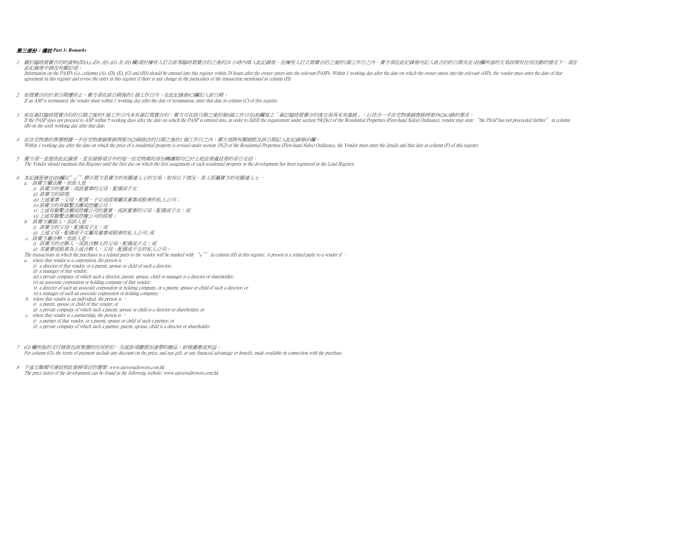### 第三部份:備註 *Part 3: Remarks*

- 4 在住宅物業的售價根據一手住宅物業銷售條例第35(2)條修改的日期之後的1 個工作日之內,賣方須將有關細節及該日期記入此紀錄冊(F)欄。Within 1 working day after the date on which the price of a residential property is revised under section 35(2) of the Residential Properties (First-hand Sales) Ordinance, the Vendor must enter the details and that date in 5 賣方須一直提供此記錄冊,直至發展項目中的每一住宅物業的首份轉讓契均已於土地註冊處註冊的首日完結。 The Vendor should maintain this Register until the first day on which the first assignment of each residential property in the development has been registered in the Land Registry.6 本記錄冊會在(H)欄以"√"標示買方是賣方的有關連人士的交易。如有以下情況,某人即屬賣方的有關連人士 a. 該賣方屬法團,而該人是 – i) 該賣方的董事,或該董事的父母、配偶或子女 iii) 上述董事、父母、配偶、子女或經理屬其董事或股東的私人公司; ii) 該賣方的經理; v) 上述有聯繫法團或控權公司的董事,或該董事的父母、配偶或子女;或 iv) 該賣方的有聯繫法團或控權公司; vi) 上述有聯繫法團或控權公司的經理; b. 該賣方屬個人,而該人是 – i) 該賣方的父母、配偶或子女;或 ii) 上述父母、配偶或子女屬其董事或股東的私人公司; 或 c. 該賣方屬合夥,而該人是– i) 該賣方的合夥人,或該合夥人的父母、配偶或子女;或 ii) 其董事或股東為上述合夥人、父母、配偶或子女的私人公司。The transactions in which the purchaser is a related party to the vendor will be marked with "√" in column (H) in this register. A person is a related party to a vendor if – a. where that vendor is a corporation, the person is – i) a director of that vendor, or a parent, spouse or child of such a director; ii) a manager of that vendor; iii) a private company of which such a director, parent, spouse, child or manager is a director or shareholder; iv) an associate corporation or holding company of that vendor; v) a director of such an associate corporation or holding company, or a parent, spouse or child of such a director; or vi) a manager of such an associate corporation or holding company; b. where that vendor is an individual, the person is – ii) a private company of which such a parent, spouse or child is a director or shareholder; or i) a parent, spouse or child of that vendor; or c. where that vendor is a partnership, the person is – i) a partner of that vendor, or a parent, spouse or child of such a partner; or ii) a private company of which such a partner, parent, spouse, child is a director or shareholder. 1 關於臨時買賣合約的資料(即(A), (D), (E),(G)及 (H) 欄)須於擁有人訂立該等臨時買賣合約之後的24 小時內填入此記錄冊。在擁有人訂立買賣合約之後的1個工作日之内,賣方須在此紀錄冊內記人該合約的日期及在 (H)欄所述的交易詳情有任何改動的情況下,須在 此紀錄冊中修改有關記項。Information on the PASPs (i.e. columns (A), (D), (E), (G) and (H)) should be entered into this register within 24 hours after the owner enters into the relevant PASPs. Within 1 working day after the date on which the owner agreement in this register and revise the entry in this register if there is any change in the particulars of the transaction mentioned in column (H).2 如買賣合約於某日期遭終止,賣方須在該日期後的1 個工作日內,在此紀錄冊(C)欄記入該日期。 If an ASP is terminated, the vendor must within 1 working day after the date of termination, enter that date in column (C) of this register.3 如在簽訂臨時買賣合約的日期之後的5 個工作日內未有簽訂買賣合約,賣方可在該日期之後的第6個工作日在(B)欄寫上「簽訂臨時買賣合約後交易再未有進展」,以符合一手住宅物業銷售條例第59(2)(c)條的要求。 If the PASP does not proceed to ASP within 5 working days after the date on which the PASP is entered into, in order to fulfill the requirement under section 59(2)(c) of the Residential Properties (First-hand Sales) Ordina (B) on the sixth working day after that date.
	- 7 (G) 欄所指的支付條款包括售價的任何折扣,及就該項購買而連帶的贈品、財務優惠或利益。For column (G), the terms of payment include any discount on the price, and any gift, or any financial advantage or benefit, made available in connection with the purchase.
	- 8 下述互聯網可連結到此發展項目的價單: www.universaltowers.com.hkThe price list(s) of the development can be found in the following website: www.universaltowers.com.hk